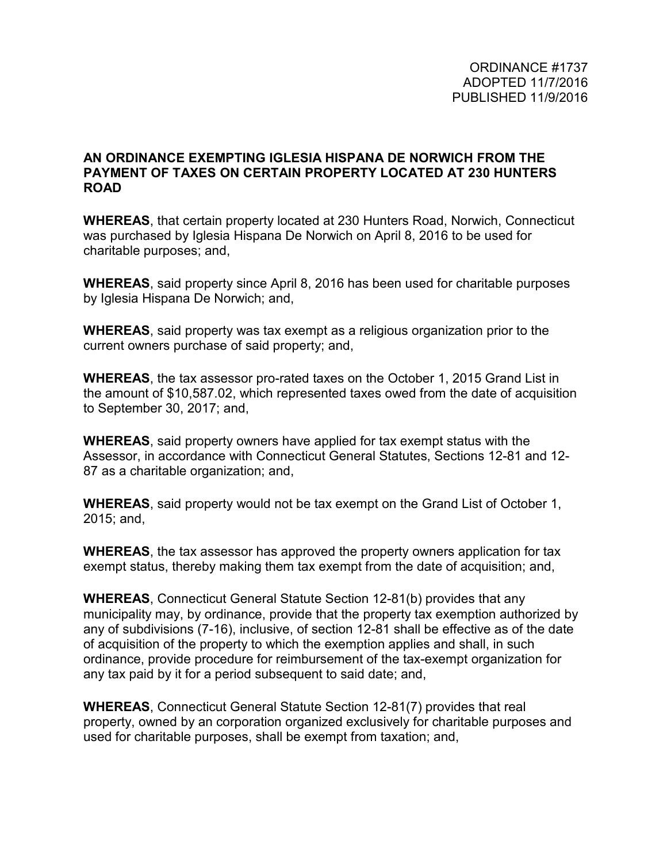## **AN ORDINANCE EXEMPTING IGLESIA HISPANA DE NORWICH FROM THE PAYMENT OF TAXES ON CERTAIN PROPERTY LOCATED AT 230 HUNTERS ROAD**

**WHEREAS**, that certain property located at 230 Hunters Road, Norwich, Connecticut was purchased by Iglesia Hispana De Norwich on April 8, 2016 to be used for charitable purposes; and,

**WHEREAS**, said property since April 8, 2016 has been used for charitable purposes by Iglesia Hispana De Norwich; and,

**WHEREAS**, said property was tax exempt as a religious organization prior to the current owners purchase of said property; and,

**WHEREAS**, the tax assessor pro-rated taxes on the October 1, 2015 Grand List in the amount of \$10,587.02, which represented taxes owed from the date of acquisition to September 30, 2017; and,

**WHEREAS**, said property owners have applied for tax exempt status with the Assessor, in accordance with Connecticut General Statutes, Sections 12-81 and 12- 87 as a charitable organization; and,

**WHEREAS**, said property would not be tax exempt on the Grand List of October 1, 2015; and,

**WHEREAS**, the tax assessor has approved the property owners application for tax exempt status, thereby making them tax exempt from the date of acquisition; and,

**WHEREAS**, Connecticut General Statute Section 12-81(b) provides that any municipality may, by ordinance, provide that the property tax exemption authorized by any of subdivisions (7-16), inclusive, of section 12-81 shall be effective as of the date of acquisition of the property to which the exemption applies and shall, in such ordinance, provide procedure for reimbursement of the tax-exempt organization for any tax paid by it for a period subsequent to said date; and,

**WHEREAS**, Connecticut General Statute Section 12-81(7) provides that real property, owned by an corporation organized exclusively for charitable purposes and used for charitable purposes, shall be exempt from taxation; and,